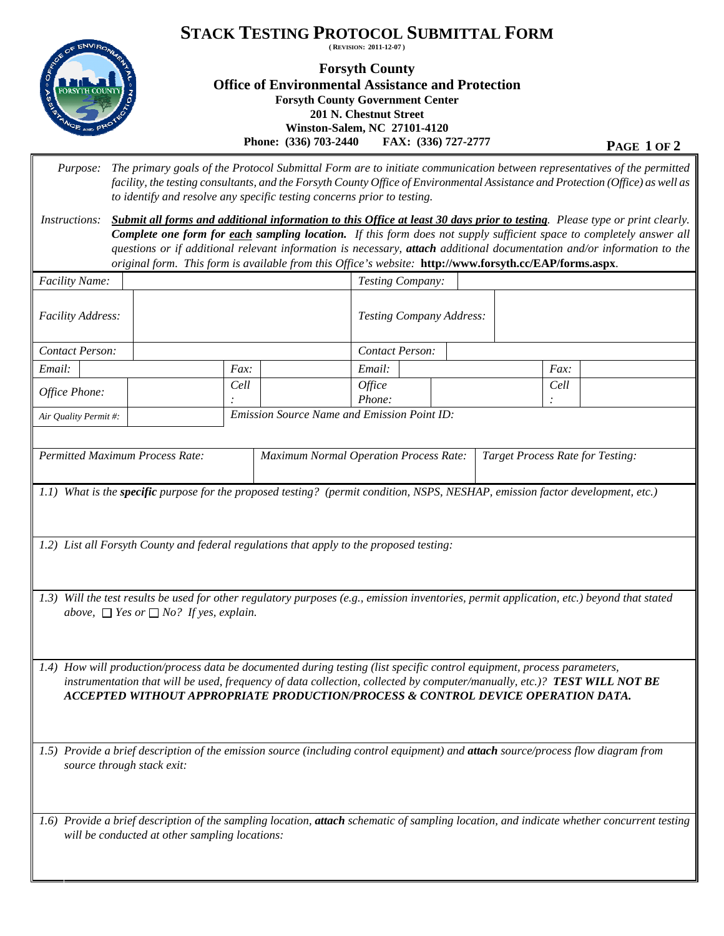

## **Forsyth County Office of Environmental Assistance and Protection Forsyth County Government Center 201 N. Chestnut Street Winston-Salem, NC 27101-4120 Phone:** (336) 703-2440 **FAX:** (336) 727-2777 **PAGE 1 OF 2**

| <i>Purpose:</i>                                                                                                                                                                                                                                                                                                                                 | The primary goals of the Protocol Submittal Form are to initiate communication between representatives of the permitted<br>facility, the testing consultants, and the Forsyth County Office of Environmental Assistance and Protection (Office) as well as<br>to identify and resolve any specific testing concerns prior to testing.                                                                                                                                                     |                                                    |                                                                                   |  |              |  |  |  |  |  |  |  |
|-------------------------------------------------------------------------------------------------------------------------------------------------------------------------------------------------------------------------------------------------------------------------------------------------------------------------------------------------|-------------------------------------------------------------------------------------------------------------------------------------------------------------------------------------------------------------------------------------------------------------------------------------------------------------------------------------------------------------------------------------------------------------------------------------------------------------------------------------------|----------------------------------------------------|-----------------------------------------------------------------------------------|--|--------------|--|--|--|--|--|--|--|
| Instructions:                                                                                                                                                                                                                                                                                                                                   | Submit all forms and additional information to this Office at least 30 days prior to testing. Please type or print clearly.<br>Complete one form for each sampling location. If this form does not supply sufficient space to completely answer all<br>questions or if additional relevant information is necessary, attach additional documentation and/or information to the<br>original form. This form is available from this Office's website: http://www.forsyth.cc/EAP/forms.aspx. |                                                    |                                                                                   |  |              |  |  |  |  |  |  |  |
| Facility Name:                                                                                                                                                                                                                                                                                                                                  |                                                                                                                                                                                                                                                                                                                                                                                                                                                                                           |                                                    | Testing Company:                                                                  |  |              |  |  |  |  |  |  |  |
| Facility Address:                                                                                                                                                                                                                                                                                                                               |                                                                                                                                                                                                                                                                                                                                                                                                                                                                                           |                                                    | Testing Company Address:                                                          |  |              |  |  |  |  |  |  |  |
| Contact Person:                                                                                                                                                                                                                                                                                                                                 |                                                                                                                                                                                                                                                                                                                                                                                                                                                                                           |                                                    | Contact Person:                                                                   |  |              |  |  |  |  |  |  |  |
| Email:                                                                                                                                                                                                                                                                                                                                          |                                                                                                                                                                                                                                                                                                                                                                                                                                                                                           | Fax:                                               | Email:                                                                            |  | Fax:         |  |  |  |  |  |  |  |
| Office Phone:                                                                                                                                                                                                                                                                                                                                   |                                                                                                                                                                                                                                                                                                                                                                                                                                                                                           | Cell                                               | Office                                                                            |  | Cell         |  |  |  |  |  |  |  |
|                                                                                                                                                                                                                                                                                                                                                 |                                                                                                                                                                                                                                                                                                                                                                                                                                                                                           | <b>Emission Source Name and Emission Point ID:</b> | Phone:                                                                            |  | $\therefore$ |  |  |  |  |  |  |  |
| Air Quality Permit #:                                                                                                                                                                                                                                                                                                                           |                                                                                                                                                                                                                                                                                                                                                                                                                                                                                           |                                                    |                                                                                   |  |              |  |  |  |  |  |  |  |
|                                                                                                                                                                                                                                                                                                                                                 |                                                                                                                                                                                                                                                                                                                                                                                                                                                                                           |                                                    |                                                                                   |  |              |  |  |  |  |  |  |  |
| <b>Permitted Maximum Process Rate:</b>                                                                                                                                                                                                                                                                                                          |                                                                                                                                                                                                                                                                                                                                                                                                                                                                                           |                                                    | <b>Maximum Normal Operation Process Rate:</b><br>Target Process Rate for Testing: |  |              |  |  |  |  |  |  |  |
|                                                                                                                                                                                                                                                                                                                                                 |                                                                                                                                                                                                                                                                                                                                                                                                                                                                                           |                                                    |                                                                                   |  |              |  |  |  |  |  |  |  |
| 1.1) What is the specific purpose for the proposed testing? (permit condition, NSPS, NESHAP, emission factor development, etc.)                                                                                                                                                                                                                 |                                                                                                                                                                                                                                                                                                                                                                                                                                                                                           |                                                    |                                                                                   |  |              |  |  |  |  |  |  |  |
|                                                                                                                                                                                                                                                                                                                                                 |                                                                                                                                                                                                                                                                                                                                                                                                                                                                                           |                                                    |                                                                                   |  |              |  |  |  |  |  |  |  |
| 1.2) List all Forsyth County and federal regulations that apply to the proposed testing:                                                                                                                                                                                                                                                        |                                                                                                                                                                                                                                                                                                                                                                                                                                                                                           |                                                    |                                                                                   |  |              |  |  |  |  |  |  |  |
|                                                                                                                                                                                                                                                                                                                                                 |                                                                                                                                                                                                                                                                                                                                                                                                                                                                                           |                                                    |                                                                                   |  |              |  |  |  |  |  |  |  |
| 1.3) Will the test results be used for other regulatory purposes (e.g., emission inventories, permit application, etc.) beyond that stated<br>above, $\Box$ Yes or $\Box$ No? If yes, explain.                                                                                                                                                  |                                                                                                                                                                                                                                                                                                                                                                                                                                                                                           |                                                    |                                                                                   |  |              |  |  |  |  |  |  |  |
| 1.4) How will production/process data be documented during testing (list specific control equipment, process parameters,<br>instrumentation that will be used, frequency of data collection, collected by computer/manually, etc.)? <b>TEST WILL NOT BE</b><br>ACCEPTED WITHOUT APPROPRIATE PRODUCTION/PROCESS & CONTROL DEVICE OPERATION DATA. |                                                                                                                                                                                                                                                                                                                                                                                                                                                                                           |                                                    |                                                                                   |  |              |  |  |  |  |  |  |  |
|                                                                                                                                                                                                                                                                                                                                                 |                                                                                                                                                                                                                                                                                                                                                                                                                                                                                           |                                                    |                                                                                   |  |              |  |  |  |  |  |  |  |
| 1.5) Provide a brief description of the emission source (including control equipment) and attach source/process flow diagram from<br>source through stack exit:                                                                                                                                                                                 |                                                                                                                                                                                                                                                                                                                                                                                                                                                                                           |                                                    |                                                                                   |  |              |  |  |  |  |  |  |  |
| 1.6) Provide a brief description of the sampling location, attach schematic of sampling location, and indicate whether concurrent testing<br>will be conducted at other sampling locations:                                                                                                                                                     |                                                                                                                                                                                                                                                                                                                                                                                                                                                                                           |                                                    |                                                                                   |  |              |  |  |  |  |  |  |  |